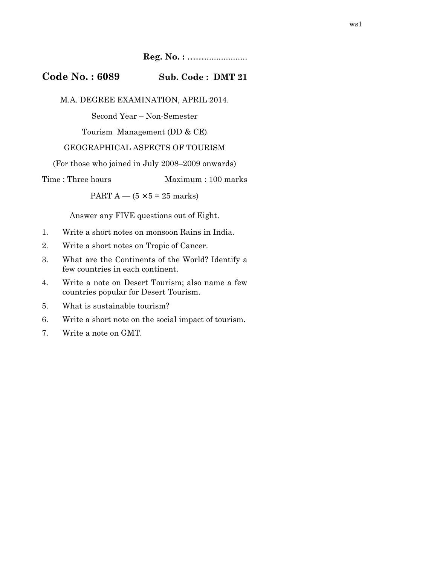Reg. No. : ……..................

## Code No.: 6089 Sub. Code: DMT 21

M.A. DEGREE EXAMINATION, APRIL 2014.

Second Year – Non-Semester

Tourism Management (DD & CE)

## GEOGRAPHICAL ASPECTS OF TOURISM

(For those who joined in July 2008–2009 onwards)

Time : Three hours Maximum : 100 marks

PART A —  $(5 \times 5 = 25$  marks)

Answer any FIVE questions out of Eight.

- 1. Write a short notes on monsoon Rains in India.
- 2. Write a short notes on Tropic of Cancer.
- 3. What are the Continents of the World? Identify a few countries in each continent.
- 4. Write a note on Desert Tourism; also name a few countries popular for Desert Tourism.
- 5. What is sustainable tourism?
- 6. Write a short note on the social impact of tourism.
- 7. Write a note on GMT.